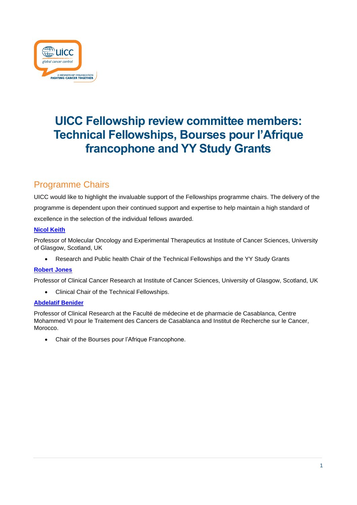

# **UICC Fellowship review committee members: Technical Fellowships, Bourses pour l'Afrique francophone and YY Study Grants**

## Programme Chairs

UICC would like to highlight the invaluable support of the Fellowships programme chairs. The delivery of the programme is dependent upon their continued support and expertise to help maintain a high standard of excellence in the selection of the individual fellows awarded.

#### **[Nicol Keith](https://www.gla.ac.uk/researchinstitutes/cancersciences/staff/nicolkeith/)**

Professor of Molecular Oncology and Experimental Therapeutics at Institute of Cancer Sciences, University of Glasgow, Scotland, UK

• Research and Public health Chair of the Technical Fellowships and the YY Study Grants

#### **[Robert Jones](https://www.gla.ac.uk/researchinstitutes/cancersciences/staff/robertjones/)**

Professor of Clinical Cancer Research at Institute of Cancer Sciences, University of Glasgow, Scotland, UK

• Clinical Chair of the Technical Fellowships.

#### **[Abdelatif](https://www.irc.ma/recherche/reseau-irc-associes/recherche-clinique/benider-abdellatif) [Benider](https://www.irc.ma/recherche/reseau-irc-associes/recherche-clinique/benider-abdellatif)**

Professor of Clinical Research at the Faculté de médecine et de pharmacie de Casablanca, Centre Mohammed VI pour le Traitement des Cancers de Casablanca and Institut de Recherche sur le Cancer, Morocco.

• Chair of the Bourses pour l'Afrique Francophone.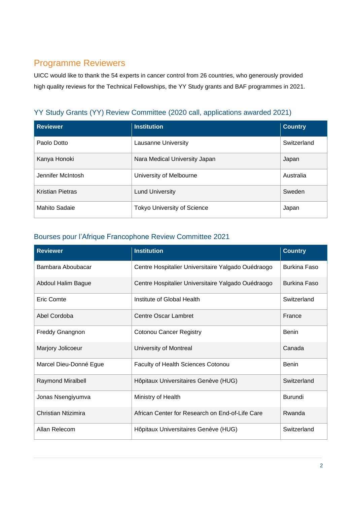# Programme Reviewers

UICC would like to thank the 54 experts in cancer control from 26 countries, who generously provided high quality reviews for the Technical Fellowships, the YY Study grants and BAF programmes in 2021.

### YY Study Grants (YY) Review Committee (2020 call, applications awarded 2021)

| <b>Reviewer</b>         | <b>Institution</b>                 | <b>Country</b> |
|-------------------------|------------------------------------|----------------|
| Paolo Dotto             | Lausanne University                | Switzerland    |
| Kanya Honoki            | Nara Medical University Japan      | Japan          |
| Jennifer McIntosh       | University of Melbourne            | Australia      |
| <b>Kristian Pietras</b> | <b>Lund University</b>             | Sweden         |
| Mahito Sadaie           | <b>Tokyo University of Science</b> | Japan          |

### Bourses pour l'Afrique Francophone Review Committee 2021

| <b>Reviewer</b>          | <b>Institution</b>                                 | <b>Country</b>      |
|--------------------------|----------------------------------------------------|---------------------|
| Bambara Aboubacar        | Centre Hospitalier Universitaire Yalgado Ouédraogo | <b>Burkina Faso</b> |
| Abdoul Halim Bague       | Centre Hospitalier Universitaire Yalgado Ouédraogo | <b>Burkina Faso</b> |
| Eric Comte               | Institute of Global Health                         | Switzerland         |
| Abel Cordoba             | <b>Centre Oscar Lambret</b>                        | France              |
| <b>Freddy Gnangnon</b>   | <b>Cotonou Cancer Registry</b>                     | <b>Benin</b>        |
| Marjory Jolicoeur        | University of Montreal                             | Canada              |
| Marcel Dieu-Donné Egue   | Faculty of Health Sciences Cotonou                 | Benin               |
| <b>Raymond Miralbell</b> | Hôpitaux Universitaires Genève (HUG)               | Switzerland         |
| Jonas Nsengiyumva        | Ministry of Health                                 | Burundi             |
| Christian Ntizimira      | African Center for Research on End-of-Life Care    | Rwanda              |
| Allan Relecom            | Hôpitaux Universitaires Genève (HUG)               | Switzerland         |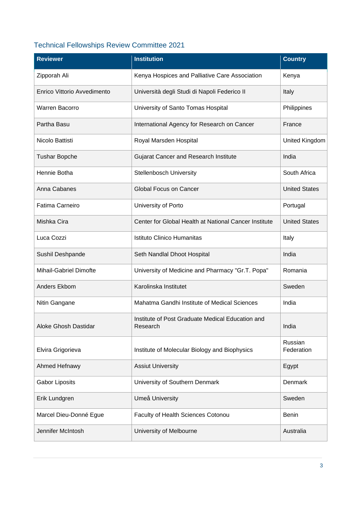## Technical Fellowships Review Committee 2021

| <b>Reviewer</b>             | <b>Institution</b>                                           | <b>Country</b>        |
|-----------------------------|--------------------------------------------------------------|-----------------------|
| Zipporah Ali                | Kenya Hospices and Palliative Care Association               | Kenya                 |
| Enrico Vittorio Avvedimento | Università degli Studi di Napoli Federico II                 | Italy                 |
| <b>Warren Bacorro</b>       | University of Santo Tomas Hospital                           | Philippines           |
| Partha Basu                 | International Agency for Research on Cancer                  | France                |
| Nicolo Battisti             | Royal Marsden Hospital                                       | United Kingdom        |
| <b>Tushar Bopche</b>        | <b>Gujarat Cancer and Research Institute</b>                 | India                 |
| Hennie Botha                | <b>Stellenbosch University</b>                               | South Africa          |
| Anna Cabanes                | <b>Global Focus on Cancer</b>                                | <b>United States</b>  |
| <b>Fatima Carneiro</b>      | University of Porto                                          | Portugal              |
| Mishka Cira                 | Center for Global Health at National Cancer Institute        | <b>United States</b>  |
| Luca Cozzi                  | Istituto Clinico Humanitas                                   | Italy                 |
| Sushil Deshpande            | Seth Nandlal Dhoot Hospital                                  | India                 |
| Mihail-Gabriel Dimofte      | University of Medicine and Pharmacy "Gr.T. Popa"             | Romania               |
| Anders Ekbom                | Karolinska Institutet                                        | Sweden                |
| Nitin Gangane               | Mahatma Gandhi Institute of Medical Sciences                 | India                 |
| Aloke Ghosh Dastidar        | Institute of Post Graduate Medical Education and<br>Research | India                 |
| Elvira Grigorieva           | Institute of Molecular Biology and Biophysics                | Russian<br>Federation |
| Ahmed Hefnawy               | <b>Assiut University</b>                                     | Egypt                 |
| <b>Gabor Liposits</b>       | University of Southern Denmark                               | Denmark               |
| Erik Lundgren               | Umeå University                                              | Sweden                |
| Marcel Dieu-Donné Egue      | Faculty of Health Sciences Cotonou                           | <b>Benin</b>          |
| Jennifer McIntosh           | University of Melbourne                                      | Australia             |